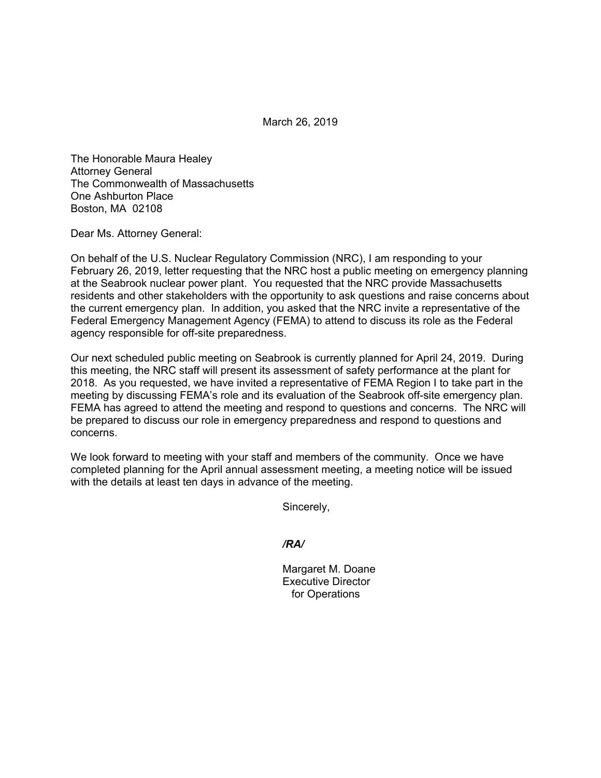March 26, 2019

The Honorable Maura Healey Attorney General The Commonwealth of Massachusetts One Ashburton Place Boston, MA 02108

Dear Ms. Attorney General:

On behalf of the U.S. Nuclear Regulatory Commission (NRC), I am responding to your February 26, 2019, letter requesting that the NRC host a public meeting on emergency planning at the Seabrook nuclear power plant. You requested that the NRC provide Massachusetts residents and other stakeholders with the opportunity to ask questions and raise concerns about the current emergency plan. In addition, you asked that the NRC invite a representative of the Federal Emergency Management Agency (FEMA) to attend to discuss its role as the Federal agency responsible for off-site preparedness.

Our next scheduled public meeting on Seabrook is currently planned for April 24, 2019. During this meeting, the NRC staff will present its assessment of safety performance at the plant for 2018. As you requested, we have invited a representative of FEMA Region I to take part in the meeting by discussing FEMA's role and its evaluation of the Seabrook off-site emergency plan. FEMA has agreed to attend the meeting and respond to questions and concerns. The NRC will be prepared to discuss our role in emergency preparedness and respond to questions and concerns.

We look forward to meeting with your staff and members of the community. Once we have completed planning for the April annual assessment meeting, a meeting notice will be issued with the details at least ten days in advance of the meeting.

Sincerely,

*/RA/* 

 Margaret M. Doane Executive Director for Operations